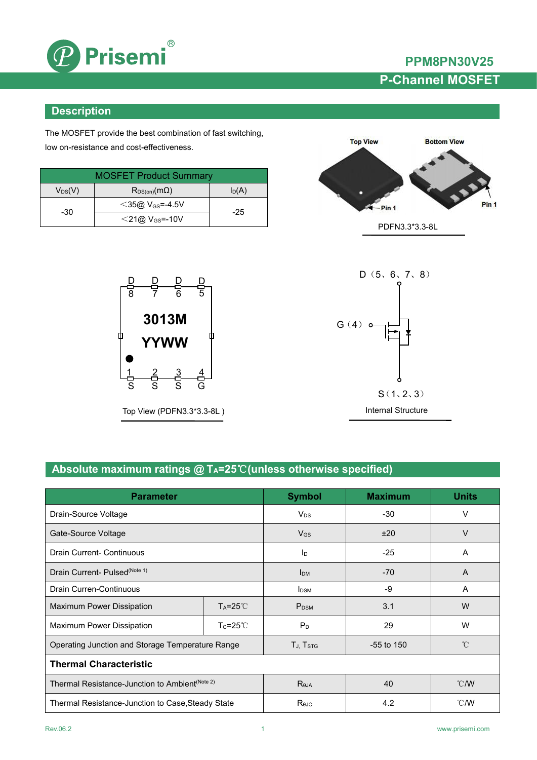

**PPM8PN30V25 P-Channel MOSFET**

### **Description**

The MOSFET provide the best combination of fast switching, low on-resistance and cost-effectiveness.

| <b>MOSFET Product Summary</b> |                                |          |  |
|-------------------------------|--------------------------------|----------|--|
| $V_{DS}(V)$                   | $R_{DS(on)}(m\Omega)$          | $I_D(A)$ |  |
|                               | $<$ 35@ V <sub>GS</sub> =-4.5V | $-25$    |  |
| -30                           | $<$ 21@ V <sub>GS</sub> =-10V  |          |  |



Top View (PDFN3.3\*3.3-8L )





### **Absolute maximum ratings @ TA=25**℃**(unless otherwise specified)**

| <b>Parameter</b>                                           |                     | <b>Symbol</b>      | <b>Maximum</b> | <b>Units</b>   |
|------------------------------------------------------------|---------------------|--------------------|----------------|----------------|
| Drain-Source Voltage                                       |                     | $V_{DS}$           | $-30$          | V              |
| Gate-Source Voltage                                        |                     | $V_{GS}$           | ±20            | V              |
| <b>Drain Current- Continuous</b>                           |                     | $I_D$              | $-25$          | $\overline{A}$ |
| Drain Current- Pulsed <sup>(Note 1)</sup>                  |                     | I <sub>DM</sub>    | $-70$          | $\mathsf{A}$   |
| Drain Curren-Continuous                                    |                     | $I_{DSM}$          | -9             | Α              |
| Maximum Power Dissipation                                  | $T_A = 25^{\circ}C$ | $P_{DSM}$          | 3.1            | W              |
| Maximum Power Dissipation                                  | $T_c = 25^{\circ}$  | $P_D$              | 29             | W              |
| Operating Junction and Storage Temperature Range           |                     | TJ, Tstg           | $-55$ to 150   | $^{\circ}$ C   |
| <b>Thermal Characteristic</b>                              |                     |                    |                |                |
| Thermal Resistance-Junction to Ambient <sup>(Note 2)</sup> |                     | $R_{\theta JA}$    | 40             | $\degree$ C/W  |
| Thermal Resistance-Junction to Case, Steady State          |                     | $R_{\theta$ J $C}$ | 4.2            | $\degree$ C/W  |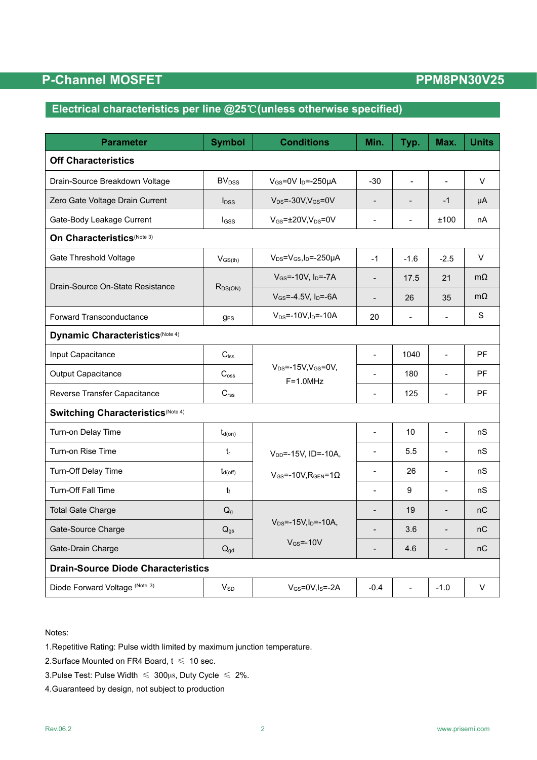## **P-Channel MOSFET PPM8PN30V25**

## **Electrical characteristics per line @25**℃**(unless otherwise specified)**

| <b>Parameter</b>                          | <b>Symbol</b>                                                   | <b>Conditions</b>                               | Min.                     | Typ.                     | Max.           | <b>Units</b> |
|-------------------------------------------|-----------------------------------------------------------------|-------------------------------------------------|--------------------------|--------------------------|----------------|--------------|
| <b>Off Characteristics</b>                |                                                                 |                                                 |                          |                          |                |              |
| Drain-Source Breakdown Voltage            | <b>BV</b> <sub>DSS</sub><br>$V_{GS}$ =0V I <sub>D</sub> =-250µA |                                                 | $-30$                    | $\overline{a}$           |                | $\vee$       |
| Zero Gate Voltage Drain Current           | $I_{DSS}$                                                       | $V_{DS} = -30V$ , $V_{GS} = 0V$                 | $\overline{\phantom{a}}$ |                          | $-1$           | μA           |
| Gate-Body Leakage Current                 | $V_{GS}$ = $\pm$ 20V,V <sub>DS</sub> =0V<br>$I_{GSS}$           |                                                 | $\blacksquare$           | $\overline{\phantom{0}}$ | ±100           | nA           |
| On Characteristics(Note 3)                |                                                                 |                                                 |                          |                          |                |              |
| Gate Threshold Voltage                    | $V_{GS(th)}$                                                    | $V_{DS} = V_{GS}$ , I <sub>D</sub> =-250µA      | $-1$                     | $-1.6$                   | $-2.5$         | V            |
|                                           |                                                                 | $V_{GS}$ =-10V, $I_{D}$ =-7A                    | $\overline{a}$           | 17.5                     | 21             | $m\Omega$    |
| Drain-Source On-State Resistance          | $R_{DS(ON)}$                                                    | $V_{GS} = -4.5V$ , $I_D = -6A$                  |                          | 26                       | 35             | $m\Omega$    |
| Forward Transconductance                  | <b>g</b> <sub>FS</sub>                                          | $V_{DS} = -10V I_D = -10A$                      | 20                       | $\overline{a}$           | $\overline{a}$ | $\mathbf S$  |
| Dynamic Characteristics (Note 4)          |                                                                 |                                                 |                          |                          |                |              |
| Input Capacitance                         | $C_{\text{lss}}$                                                |                                                 | $\overline{a}$           | 1040                     | $\overline{a}$ | PF           |
| Output Capacitance                        | $C_{\rm oss}$                                                   | $V_{DS} = -15V$ , $V_{GS} = 0V$ ,<br>$F=1.0MHz$ | $\overline{a}$           | 180                      |                | PF           |
| Reverse Transfer Capacitance              | C <sub>rss</sub>                                                |                                                 | $\overline{a}$           | 125                      | $\overline{a}$ | PF           |
| <b>Switching Characteristics(Note 4)</b>  |                                                                 |                                                 |                          |                          |                |              |
| Turn-on Delay Time                        | $t_{d(on)}$                                                     |                                                 | $\overline{a}$           | 10                       | $\overline{a}$ | nS           |
| Turn-on Rise Time                         | $t_{r}$                                                         | $V_{DD}$ =-15V, ID=-10A,                        | $\overline{a}$           | 5.5                      |                | nS           |
| Turn-Off Delay Time                       | $t_{d(\text{off})}$                                             | $V_{GS}$ =-10V, R <sub>GEN</sub> =1 $\Omega$    | $\blacksquare$           | 26                       | $\overline{a}$ | nS           |
| <b>Turn-Off Fall Time</b>                 | t                                                               |                                                 | $\overline{a}$           | 9                        | $\overline{a}$ | nS           |
| <b>Total Gate Charge</b>                  | Q <sub>g</sub>                                                  |                                                 | $\blacksquare$           | 19                       | $\overline{a}$ | nC           |
| Gate-Source Charge                        | $Q_{gs}$                                                        | $V_{DS} = -15V, I_D = -10A,$                    |                          | 3.6                      |                | nC           |
| Gate-Drain Charge                         | $Q_{gd}$                                                        | $V_{GS} = -10V$                                 | $\overline{\phantom{a}}$ | 4.6                      | $\overline{a}$ | nC           |
| <b>Drain-Source Diode Characteristics</b> |                                                                 |                                                 |                          |                          |                |              |
| Diode Forward Voltage (Note 3)            | $V_{SD}$                                                        | $V$ <sub>GS</sub> =0V,I <sub>S</sub> =-2A       | $-0.4$                   |                          | $-1.0$         | V            |

Notes:

1.Repetitive Rating: Pulse width limited by maximum junction temperature.

2. Surface Mounted on FR4 Board,  $t \leq 10$  sec.

3.Pulse Test: Pulse Width  $\leq 300$ μs, Duty Cycle  $\leq 2\%$ .

4.Guaranteed by design, not subject to production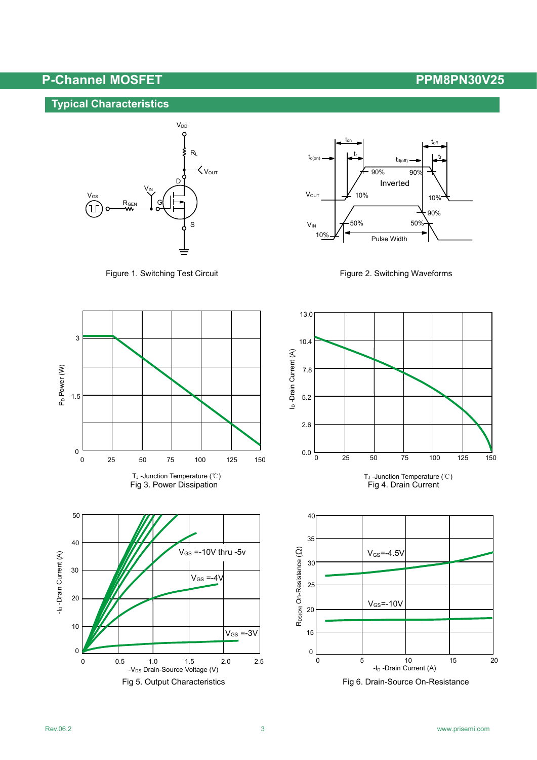# **P-Channel MOSFET PPM8PN30V25**

## **Typical Characteristics**













1.5

 $\sum_{P,D}$  1.5

 $0 \leftarrow$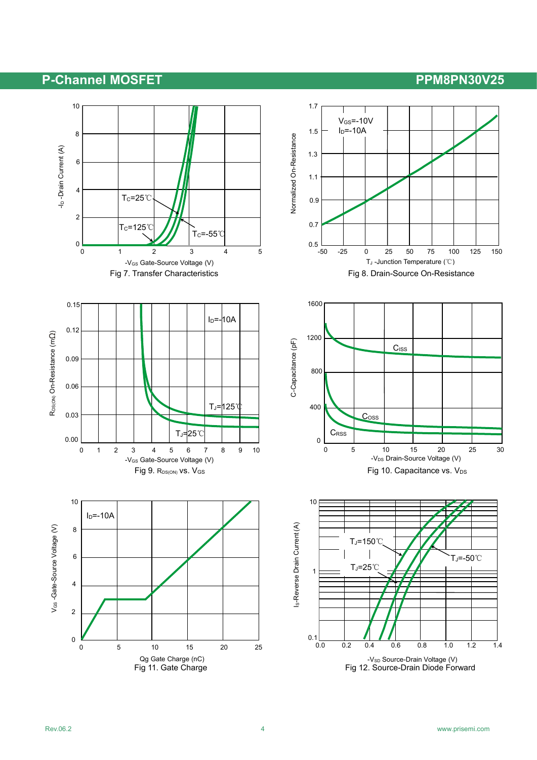## **P-Channel MOSFET PPM8PN30V25**

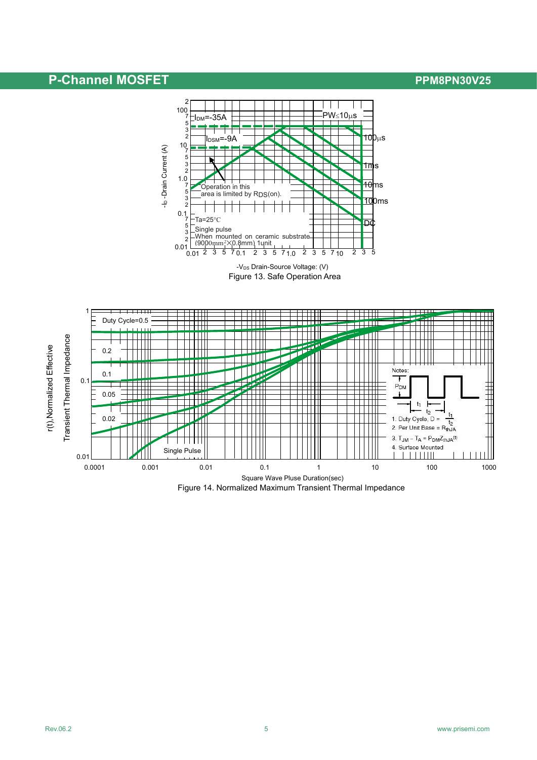## **P-Channel MOSFET P-Channel MOSFET**



Figure 13. Safe Operation Area -V<sub>DS</sub> Drain-Source Voltage: (V)



Figure 14. Normalized Maximum Transient Thermal Impedance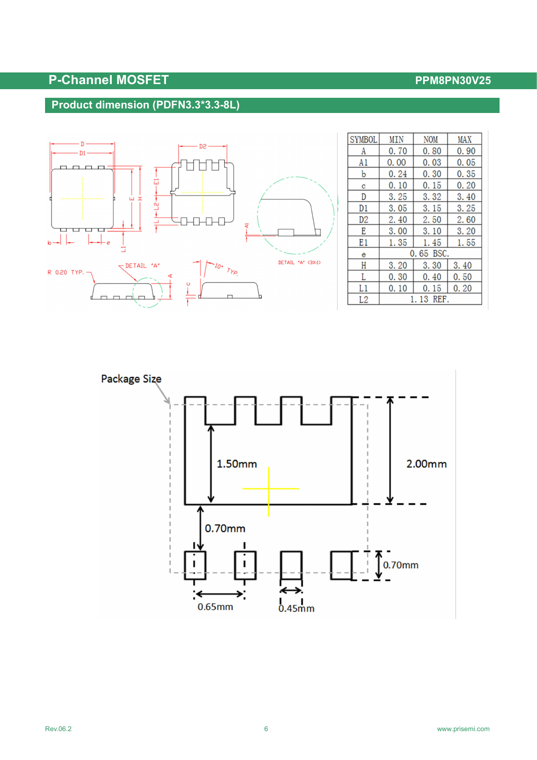# **P-Channel MOSFET P-Channel MOSFET**

### **Product dimension (PDFN3.3\*3.3-8L)**



| <b>SYMBOL</b>  | MIN  | <b>NOM</b> | MAX  |
|----------------|------|------------|------|
| A              | 0.70 | 0.80       | 0.90 |
| A1             | 0.00 | 0.03       | 0.05 |
| b              | 0.24 | 0.30       | 0.35 |
| c              | 0.10 | 0.15       | 0.20 |
| D              | 3.25 | 3.32       | 3.40 |
| D1             | 3.05 | 3.15       | 3.25 |
| D <sub>2</sub> | 2.40 | 2.50       | 2.60 |
| E              | 3.00 | 3.10       | 3.20 |
| E1             | 1.35 | 1.45       | 1.55 |
| e              |      | 0.65 BSC.  |      |
| Н              | 3.20 | 3.30       | 3.40 |
| L              | 0.30 | 0.40       | 0.50 |
| L1             | 0.10 | 0.15       | 0.20 |
| L2             |      | 1.13 REF.  |      |

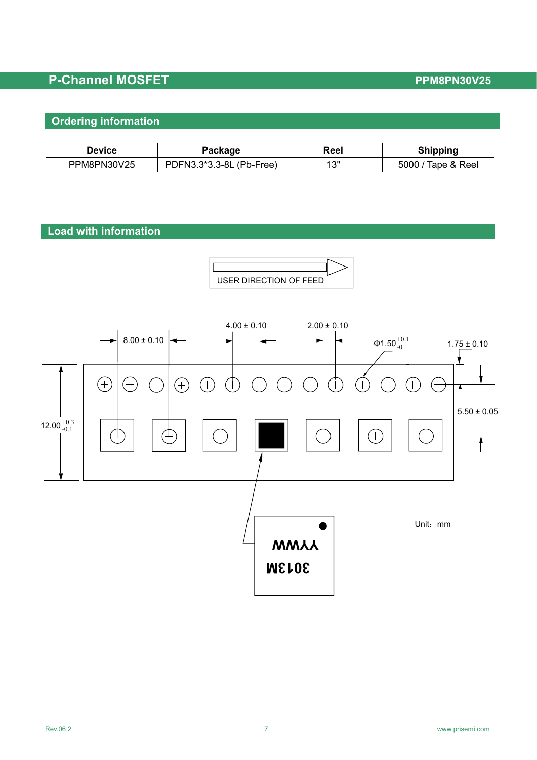# **P-Channel MOSFET P-Channel MOSFET**

### **Ordering information**

| Device      | 'ackaqe                                   | Reel        | ippina              |
|-------------|-------------------------------------------|-------------|---------------------|
| PPM8PN30V25 | (Pb-Free)<br>*3.3-8L<br>つ*つ<br>DFN3<br>PГ | 4.011<br>ں، | Tape & Reel<br>5000 |

### **Load with information**